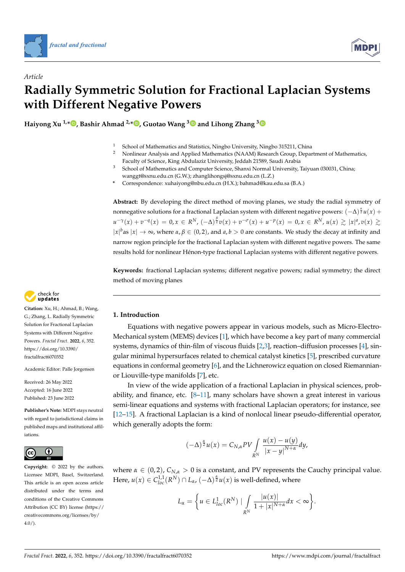

*Article*



# **Radially Symmetric Solution for Fractional Laplacian Systems with Different Negative Powers**

**Haiyong Xu 1,[\\*](https://orcid.org/0000-0003-1590-6799) , Bashir Ahmad 2,[\\*](https://orcid.org/0000-0001-5350-2977) , Guotao Wang [3](https://orcid.org/0000-0001-7197-8581) and Lihong Zhang [3](https://orcid.org/0000-0002-3144-2237)**

- 1 School of Mathematics and Statistics, Ningbo University, Ningbo 315211, China<br>2 Noplinear Applysis and Applied Mathematics (NAAM) Beceareb Crown Depart
- <sup>2</sup> Nonlinear Analysis and Applied Mathematics (NAAM) Research Group, Department of Mathematics, Faculty of Science, King Abdulaziz University, Jeddah 21589, Saudi Arabia
- <sup>3</sup> School of Mathematics and Computer Science, Shanxi Normal University, Taiyuan 030031, China; wanggt@sxnu.edu.cn (G.W.); zhanglihongsj@sxnu.edu.cn (L.Z.)
- **\*** Correspondence: xuhaiyong@nbu.edu.cn (H.X.); bahmad@kau.edu.sa (B.A.)

**Abstract:** By developing the direct method of moving planes, we study the radial symmetry of nonnegative solutions for a fractional Laplacian system with different negative powers: (−∆) *α* <sup>2</sup> *u*(*x*) +  $u^{-\gamma}(x)+v^{-q}(x)\,=\,0, x\,\in\, R^N,\, (-\Delta)^{\frac{\beta}{2}}v(x)+v^{-\sigma}(x)+u^{-p}(x)\,=\,0, x\,\in\, R^N,\, u(x)\,\gtrsim\, |x|^a,\, v(x)\,\gtrsim\, 0.$  $|x|^b$ as  $|x| \to \infty$ , where  $\alpha, \beta \in (0, 2)$ , and  $a, b > 0$  are constants. We study the decay at infinity and narrow region principle for the fractional Laplacian system with different negative powers. The same results hold for nonlinear Hénon-type fractional Laplacian systems with different negative powers.

**Keywords:** fractional Laplacian systems; different negative powers; radial symmetry; the direct method of moving planes



**Citation:** Xu, H.; Ahmad, B.; Wang, G.; Zhang, L. Radially Symmetric Solution for Fractional Laplacian Systems with Different Negative Powers. *Fractal Fract.* **2022**, *6*, 352. [https://doi.org/10.3390/](https://doi.org/10.3390/fractalfract6070352) [fractalfract6070352](https://doi.org/10.3390/fractalfract6070352)

Academic Editor: Palle Jorgensen

Received: 26 May 2022 Accepted: 16 June 2022 Published: 23 June 2022

**Publisher's Note:** MDPI stays neutral with regard to jurisdictional claims in published maps and institutional affiliations.



[fractal and fractional](https://www.mdpi.com/journal/fractalfract)<br>Article<br> **Radially Symmetrics**<br> **Article**<br> **Radially Symmetric**<br> **With Different Nation Xu, H.; Ahmad, B.; Wang,<br>
G.; Zhang, L. Radially Symmetric<br>
Haiyong Xu <sup>L,\*</sup>®, Bashir Ahmad, B.; Wang,<br>
Systems Copyright:** © 2022 by the authors. Licensee MDPI, Basel, Switzerland. This article is an open access article distributed under the terms and conditions of the Creative Commons Attribution (CC BY) license [\(https://](https://creativecommons.org/licenses/by/4.0/) [creativecommons.org/licenses/by/](https://creativecommons.org/licenses/by/4.0/)  $4.0/$ ).

### **1. Introduction**

Equations with negative powers appear in various models, such as Micro-Electro-Mechanical system (MEMS) devices [\[1\]](#page-14-0), which have become a key part of many commercial systems, dynamics of thin-film of viscous fluids [\[2,](#page-14-1)[3\]](#page-14-2), reaction–diffusion processes [\[4\]](#page-14-3), singular minimal hypersurfaces related to chemical catalyst kinetics [\[5\]](#page-14-4), prescribed curvature equations in conformal geometry [\[6\]](#page-14-5), and the Lichnerowicz equation on closed Riemannianor Liouville-type manifolds [\[7\]](#page-14-6), etc.

In view of the wide application of a fractional Laplacian in physical sciences, probability, and finance, etc.  $[8-11]$  $[8-11]$ , many scholars have shown a great interest in various semi-linear equations and systems with fractional Laplacian operators; for instance, see [\[12–](#page-14-9)[15\]](#page-14-10). A fractional Laplacian is a kind of nonlocal linear pseudo-differential operator, which generally adopts the form:

$$
(-\Delta)^{\frac{\alpha}{2}}u(x)=C_{N,\alpha}PV\int\limits_{R^N}\frac{u(x)-u(y)}{|x-y|^{N+\alpha}}dy,
$$

where  $\alpha \in (0, 2)$ ,  $C_{N, \alpha} > 0$  is a constant, and PV represents the Cauchy principal value. Here,  $u(x) \in C^{1,1}_{loc}(R^N) \cap L_{\alpha}$ ,  $(-\Delta)^{\frac{\alpha}{2}}u(x)$  is well-defined, where

$$
L_{\alpha}=\bigg\{u\in L^1_{loc}(R^N)\mid \int\limits_{R^N}\frac{|u(x)|}{1+|x|^{N+\alpha}}dx<\infty\bigg\}.
$$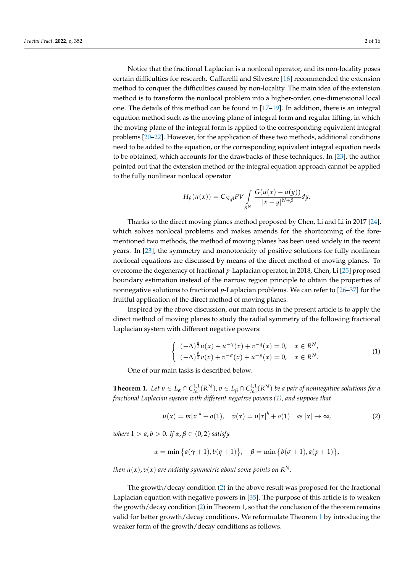Notice that the fractional Laplacian is a nonlocal operator, and its non-locality poses certain difficulties for research. Caffarelli and Silvestre [\[16\]](#page-14-11) recommended the extension method to conquer the difficulties caused by non-locality. The main idea of the extension method is to transform the nonlocal problem into a higher-order, one-dimensional local one. The details of this method can be found in [\[17](#page-14-12)[–19\]](#page-14-13). In addition, there is an integral equation method such as the moving plane of integral form and regular lifting, in which the moving plane of the integral form is applied to the corresponding equivalent integral problems [\[20–](#page-14-14)[22\]](#page-14-15). However, for the application of these two methods, additional conditions need to be added to the equation, or the corresponding equivalent integral equation needs to be obtained, which accounts for the drawbacks of these techniques. In [\[23\]](#page-14-16), the author pointed out that the extension method or the integral equation approach cannot be applied to the fully nonlinear nonlocal operator

$$
H_{\beta}(u(x)) = C_{N,\beta}PV \int\limits_{R^N} \frac{G(u(x) - u(y))}{|x - y|^{N + \beta}} dy.
$$

Thanks to the direct moving planes method proposed by Chen, Li and Li in 2017 [\[24\]](#page-14-17), which solves nonlocal problems and makes amends for the shortcoming of the forementioned two methods, the method of moving planes has been used widely in the recent years. In [\[23\]](#page-14-16), the symmetry and monotonicity of positive solutions for fully nonlinear nonlocal equations are discussed by means of the direct method of moving planes. To overcome the degeneracy of fractional *p*-Laplacian operator, in 2018, Chen, Li [\[25\]](#page-14-18) proposed boundary estimation instead of the narrow region principle to obtain the properties of nonnegative solutions to fractional *p*-Laplacian problems. We can refer to [\[26](#page-14-19)[–37\]](#page-15-0) for the fruitful application of the direct method of moving planes.

Inspired by the above discussion, our main focus in the present article is to apply the direct method of moving planes to study the radial symmetry of the following fractional Laplacian system with different negative powers:

<span id="page-1-0"></span>
$$
\begin{cases}\n(-\Delta)^{\frac{\alpha}{2}}u(x) + u^{-\gamma}(x) + v^{-q}(x) = 0, & x \in \mathbb{R}^N, \\
(-\Delta)^{\frac{\beta}{2}}v(x) + v^{-\sigma}(x) + u^{-p}(x) = 0, & x \in \mathbb{R}^N.\n\end{cases}
$$
\n(1)

One of our main tasks is described below.

<span id="page-1-2"></span>**Theorem 1.** Let  $u \in L_{\alpha} \cap C_{loc}^{1,1}(R^N)$ ,  $v \in L_{\beta} \cap C_{loc}^{1,1}(R^N)$  be a pair of nonnegative solutions for a *fractional Laplacian system with different negative powers [\(1\)](#page-1-0), and suppose that*

<span id="page-1-1"></span>
$$
u(x) = m|x|^a + o(1), \quad v(x) = n|x|^b + o(1) \quad \text{as } |x| \to \infty,
$$
 (2)

,

*where*  $1 > a, b > 0$ *. If*  $\alpha, \beta \in (0, 2)$  *satisfy* 

$$
\alpha = \min\left\{a(\gamma+1), b(q+1)\right\}, \quad \beta = \min\left\{b(\sigma+1), a(p+1)\right\}
$$

*then*  $u(x)$ ,  $v(x)$  are radially symmetric about some points on  $R^N$ .

The growth/decay condition [\(2\)](#page-1-1) in the above result was proposed for the fractional Laplacian equation with negative powers in [\[35\]](#page-15-1). The purpose of this article is to weaken the growth/decay condition [\(2\)](#page-1-1) in Theorem [1,](#page-1-2) so that the conclusion of the theorem remains valid for better growth/decay conditions. We reformulate Theorem [1](#page-1-2) by introducing the weaker form of the growth/decay conditions as follows.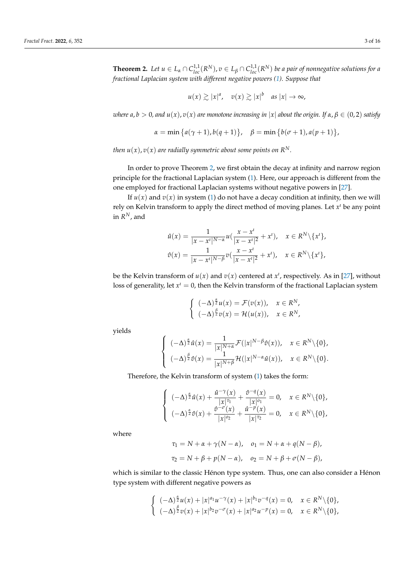<span id="page-2-0"></span>**Theorem 2.** Let  $u \in L_{\alpha} \cap C_{loc}^{1,1}(R^N)$ ,  $v \in L_{\beta} \cap C_{loc}^{1,1}(R^N)$  be a pair of nonnegative solutions for a *fractional Laplacian system with different negative powers [\(1\)](#page-1-0). Suppose that*

$$
u(x) \gtrsim |x|^a, \quad v(x) \gtrsim |x|^b \quad \text{as } |x| \to \infty,
$$

*where*  $a, b > 0$ , and  $u(x), v(x)$  are monotone increasing in  $|x|$  about the origin. If  $α, β ∈ (0, 2)$  satisfy

$$
\alpha = \min \{ a(\gamma + 1), b(q + 1) \}, \quad \beta = \min \{ b(\sigma + 1), a(p + 1) \},
$$

*then*  $u(x)$ ,  $v(x)$  *are radially symmetric about some points on*  $R^N$ *.* 

In order to prove Theorem [2,](#page-2-0) we first obtain the decay at infinity and narrow region principle for the fractional Laplacian system [\(1\)](#page-1-0). Here, our approach is different from the one employed for fractional Laplacian systems without negative powers in [\[27\]](#page-14-20).

If  $u(x)$  and  $v(x)$  in system [\(1\)](#page-1-0) do not have a decay condition at infinity, then we will rely on Kelvin transform to apply the direct method of moving planes. Let  $x^i$  be any point in  $R^N$ , and

$$
\hat{u}(x) = \frac{1}{|x - x^i|^{N-\alpha}} u\left(\frac{x - x^i}{|x - x^i|^2} + x^i\right), \quad x \in R^N \setminus \{x^i\},
$$

$$
\hat{v}(x) = \frac{1}{|x - x^i|^{N-\beta}} v\left(\frac{x - x^i}{|x - x^i|^2} + x^i\right), \quad x \in R^N \setminus \{x^i\},
$$

be the Kelvin transform of  $u(x)$  and  $v(x)$  centered at  $x^i$ , respectively. As in [\[27\]](#page-14-20), without loss of generality, let  $x^i = 0$ , then the Kelvin transform of the fractional Laplacian system

$$
\begin{cases}\n(-\Delta)^{\frac{\alpha}{2}}u(x) = \mathcal{F}(v(x)), & x \in \mathbb{R}^N, \\
(-\Delta)^{\frac{\beta}{2}}v(x) = \mathcal{H}(u(x)), & x \in \mathbb{R}^N,\n\end{cases}
$$

yields

$$
\begin{cases}\n(-\Delta)^{\frac{\alpha}{2}}\hat{u}(x) = \frac{1}{|x|^{N+\alpha}}\mathcal{F}(|x|^{N-\beta}\hat{v}(x)), & x \in R^N \setminus \{0\}, \\
(-\Delta)^{\frac{\beta}{2}}\hat{v}(x) = \frac{1}{|x|^{N+\beta}}\mathcal{H}(|x|^{N-\alpha}\hat{u}(x)), & x \in R^N \setminus \{0\}.\n\end{cases}
$$

Therefore, the Kelvin transform of system [\(1\)](#page-1-0) takes the form:

$$
\begin{cases}\n(-\Delta)^{\frac{\alpha}{2}}\hat{u}(x) + \frac{\hat{u}^{-\gamma}(x)}{|x|^{\tau_1}} + \frac{\hat{v}^{-q}(x)}{|x|^{\rho_1}} = 0, & x \in R^N \setminus \{0\}, \\
(-\Delta)^{\frac{\alpha}{2}}\hat{v}(x) + \frac{\hat{v}^{-\sigma}(x)}{|x|^{\rho_2}} + \frac{\hat{u}^{-p}(x)}{|x|^{\tau_2}} = 0, & x \in R^N \setminus \{0\},\n\end{cases}
$$

where

$$
\tau_1 = N + \alpha + \gamma(N - \alpha), \quad o_1 = N + \alpha + q(N - \beta),
$$
  

$$
\tau_2 = N + \beta + p(N - \alpha), \quad o_2 = N + \beta + \sigma(N - \beta),
$$

which is similar to the classic Hénon type system. Thus, one can also consider a Hénon type system with different negative powers as

$$
\begin{cases}\n(-\Delta)^{\frac{\alpha}{2}}u(x) + |x|^{a_1}u^{-\gamma}(x) + |x|^{b_1}v^{-q}(x) = 0, & x \in \mathbb{R}^N \setminus \{0\}, \\
(-\Delta)^{\frac{\beta}{2}}v(x) + |x|^{b_2}v^{-\sigma}(x) + |x|^{a_2}u^{-p}(x) = 0, & x \in \mathbb{R}^N \setminus \{0\},\n\end{cases}
$$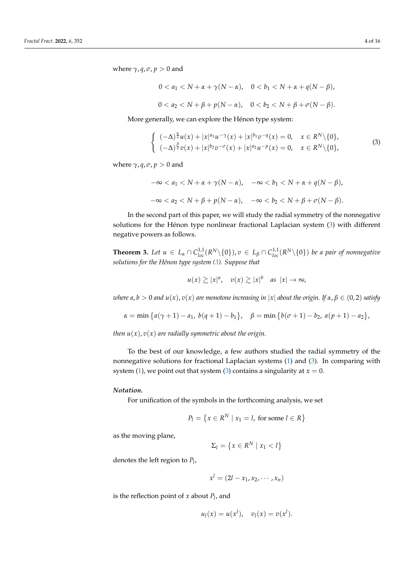where  $\gamma$ , *q*,  $\sigma$ ,  $p > 0$  and

$$
0 < a_1 < N + \alpha + \gamma(N - \alpha), \quad 0 < b_1 < N + \alpha + q(N - \beta),
$$
\n
$$
0 < a_2 < N + \beta + p(N - \alpha), \quad 0 < b_2 < N + \beta + \sigma(N - \beta).
$$

More generally, we can explore the Hénon type system:

<span id="page-3-0"></span>
$$
\begin{cases}\n(-\Delta)^{\frac{\alpha}{2}}u(x) + |x|^{a_1}u^{-\gamma}(x) + |x|^{b_1}v^{-q}(x) = 0, & x \in \mathbb{R}^N \setminus \{0\}, \\
(-\Delta)^{\frac{\beta}{2}}v(x) + |x|^{b_2}v^{-\sigma}(x) + |x|^{a_2}u^{-p}(x) = 0, & x \in \mathbb{R}^N \setminus \{0\},\n\end{cases}
$$
\n(3)

where  $\gamma$ , *q*, *σ*, *p* > 0 and

$$
-\infty < a_1 < N + \alpha + \gamma(N - \alpha), \quad -\infty < b_1 < N + \alpha + q(N - \beta),
$$
\n
$$
-\infty < a_2 < N + \beta + p(N - \alpha), \quad -\infty < b_2 < N + \beta + \sigma(N - \beta).
$$

In the second part of this paper, we will study the radial symmetry of the nonnegative solutions for the Hénon type nonlinear fractional Laplacian system [\(3\)](#page-3-0) with different negative powers as follows.

<span id="page-3-1"></span>**Theorem 3.** Let  $u \in L_{\alpha} \cap C_{loc}^{1,1}(R^N \setminus \{0\})$ ,  $v \in L_{\beta} \cap C_{loc}^{1,1}(R^N \setminus \{0\})$  be a pair of nonnegative *solutions for the Hénon type system [\(3\)](#page-3-0). Suppose that*

$$
u(x) \gtrsim |x|^a, \quad v(x) \gtrsim |x|^b \quad \text{as } |x| \to \infty,
$$

*where a*, *b* > 0 *and u*(*x*), *v*(*x*) *are monotone increasing in* |*x*| *about the origin. If α*, *β* ∈ (0, 2) *satisfy*

$$
\alpha = \min \left\{ a(\gamma + 1) - a_1, \ b(q + 1) - b_1 \right\}, \quad \beta = \min \left\{ b(\sigma + 1) - b_2, \ a(p + 1) - a_2 \right\},
$$

*then*  $u(x)$ ,  $v(x)$  *are radially symmetric about the origin.* 

To the best of our knowledge, a few authors studied the radial symmetry of the nonnegative solutions for fractional Laplacian systems [\(1\)](#page-1-0) and [\(3\)](#page-3-0). In comparing with system [\(1\)](#page-1-0), we point out that system [\(3\)](#page-3-0) contains a singularity at  $x = 0$ .

#### *Notation.*

For unification of the symbols in the forthcoming analysis, we set

$$
P_l = \{x \in R^N \mid x_1 = l, \text{ for some } l \in R\}
$$

as the moving plane,

$$
\Sigma_l = \left\{ x \in R^N \mid x_1 < l \right\}
$$

denotes the left region to *P<sup>l</sup>* ,

$$
x^l=(2l-x_1,x_2,\cdots,x_n)
$$

is the reflection point of *x* about *P<sup>l</sup>* , and

$$
u_l(x) = u(x^l), \quad v_l(x) = v(x^l).
$$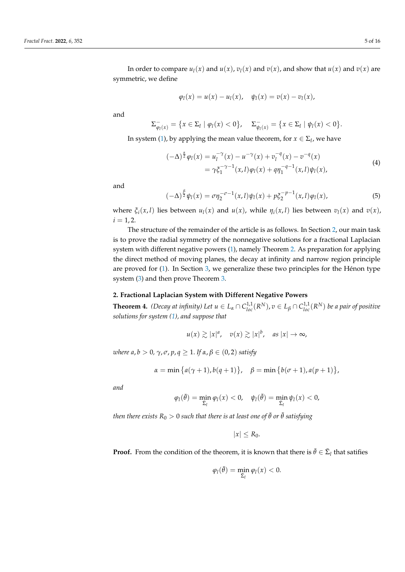In order to compare  $u_l(x)$  and  $u(x)$ ,  $v_l(x)$  and  $v(x)$ , and show that  $u(x)$  and  $v(x)$  are symmetric, we define

$$
\varphi_l(x) = u(x) - u_l(x), \quad \psi_l(x) = v(x) - v_l(x),
$$

and

$$
\Sigma_{\varphi_l(x)}^- = \{x \in \Sigma_l \mid \varphi_l(x) < 0\}, \quad \Sigma_{\varphi_l(x)}^- = \{x \in \Sigma_l \mid \psi_l(x) < 0\}.
$$

<span id="page-4-1"></span>In system [\(1\)](#page-1-0), by applying the mean value theorem, for  $x \in \Sigma_l$ , we have

$$
(-\Delta)^{\frac{\alpha}{2}}\varphi_l(x) = u_l^{-\gamma}(x) - u^{-\gamma}(x) + v_l^{-q}(x) - v^{-q}(x)
$$
  
=  $\gamma \xi_1^{-\gamma-1}(x,l)\varphi_l(x) + q\eta_1^{-q-1}(x,l)\psi_l(x),$  (4)

and

<span id="page-4-2"></span>
$$
(-\Delta)^{\frac{\beta}{2}}\psi_l(x) = \sigma \eta_2^{-\sigma-1}(x,l)\psi_l(x) + p\xi_2^{-p-1}(x,l)\varphi_l(x), \tag{5}
$$

where  $\xi_i(x, l)$  lies between  $u_l(x)$  and  $u(x)$ , while  $\eta_i(x, l)$  lies between  $v_l(x)$  and  $v(x)$ ,  $i = 1, 2.$ 

The structure of the remainder of the article is as follows. In Section [2,](#page-4-0) our main task is to prove the radial symmetry of the nonnegative solutions for a fractional Laplacian system with different negative powers [\(1\)](#page-1-0), namely Theorem [2.](#page-2-0) As preparation for applying the direct method of moving planes, the decay at infinity and narrow region principle are proved for [\(1\)](#page-1-0). In Section [3,](#page-11-0) we generalize these two principles for the Hénon type system [\(3\)](#page-3-0) and then prove Theorem [3.](#page-3-1)

## <span id="page-4-0"></span>**2. Fractional Laplacian System with Different Negative Powers**

<span id="page-4-3"></span>**Theorem 4.** (Decay at infinity) Let  $u \in L_{\alpha} \cap C_{loc}^{1,1}(R^N)$ ,  $v \in L_{\beta} \cap C_{loc}^{1,1}(R^N)$  be a pair of positive *solutions for system [\(1\)](#page-1-0), and suppose that*

$$
u(x) \gtrsim |x|^a, \quad v(x) \gtrsim |x|^b, \quad \text{as } |x| \to \infty,
$$

*where a, b* > 0,  $\gamma$ ,  $\sigma$ ,  $p$ ,  $q \ge 1$ . If  $\alpha$ ,  $\beta \in (0, 2)$  satisfy

$$
\alpha = \min\big\{a(\gamma+1), b(q+1)\big\}, \quad \beta = \min\big\{b(\sigma+1), a(p+1)\big\},
$$

*and*

$$
\varphi_l(\bar{\theta}) = \min_{\bar{\Sigma}_l} \varphi_l(x) < 0, \quad \psi_l(\tilde{\theta}) = \min_{\bar{\Sigma}_l} \psi_l(x) < 0,
$$

*then there exists*  $R_0 > 0$  *such that there is at least one of*  $\bar{\theta}$  *or*  $\tilde{\theta}$  *satisfying* 

$$
|x|\leq R_0.
$$

**Proof.** From the condition of the theorem, it is known that there is  $\bar{\theta} \in \bar{\Sigma}_l$  that satifies

$$
\varphi_l(\bar{\theta})=\min_{\Sigma_l}\varphi_l(x)<0.
$$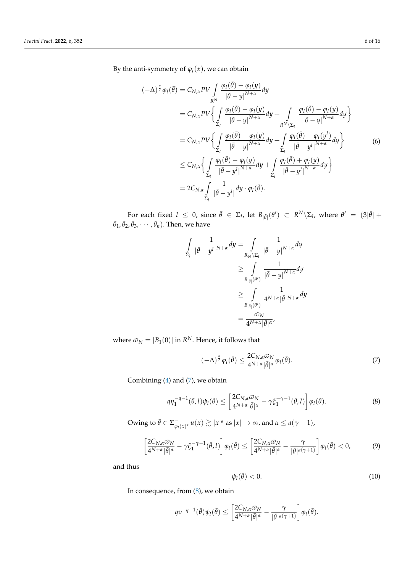By the anti-symmetry of  $\varphi_l(x)$ , we can obtain

<span id="page-5-2"></span>
$$
(-\Delta)^{\frac{\alpha}{2}} \varphi_{l}(\bar{\theta}) = C_{N,\alpha} PV \int_{R^{N}} \frac{\varphi_{l}(\bar{\theta}) - \varphi_{l}(y)}{|\bar{\theta} - y|^{N+\alpha}} dy
$$
  
\n
$$
= C_{N,\alpha} PV \Biggl\{ \int_{\Sigma_{l}} \frac{\varphi_{l}(\bar{\theta}) - \varphi_{l}(y)}{|\bar{\theta} - y|^{N+\alpha}} dy + \int_{R^{N} \setminus \Sigma_{l}} \frac{\varphi_{l}(\bar{\theta}) - \varphi_{l}(y)}{|\bar{\theta} - y|^{N+\alpha}} dy \Biggr\}
$$
  
\n
$$
= C_{N,\alpha} PV \Biggl\{ \int_{\Sigma_{l}} \frac{\varphi_{l}(\bar{\theta}) - \varphi_{l}(y)}{|\bar{\theta} - y|^{N+\alpha}} dy + \int_{\Sigma_{l}} \frac{\varphi_{l}(\bar{\theta}) - \varphi_{l}(y^{l})}{|\bar{\theta} - y^{l}|^{N+\alpha}} dy \Biggr\}
$$
  
\n
$$
\leq C_{N,\alpha} \Biggl\{ \int_{\Sigma_{l}} \frac{\varphi_{l}(\bar{\theta}) - \varphi_{l}(y)}{|\bar{\theta} - y^{l}|^{N+\alpha}} dy + \int_{\Sigma_{l}} \frac{\varphi_{l}(\bar{\theta}) + \varphi_{l}(y)}{|\bar{\theta} - y^{l}|^{N+\alpha}} dy \Biggr\}
$$
  
\n
$$
= 2C_{N,\alpha} \int_{\Sigma_{l}} \frac{1}{|\bar{\theta} - y^{l}|} dy \cdot \varphi_{l}(\bar{\theta}).
$$
 (6)

For each fixed  $l \leq 0$ , since  $\bar{\theta} \in \Sigma_l$ , let  $B_{|\bar{\theta}|}(\theta') \subset R^N \setminus \Sigma_l$ , where  $\theta' = (3|\bar{\theta}| + \Sigma_l)$  $\bar{\theta}_1$ ,  $\bar{\theta}_2$ ,  $\bar{\theta}_3$ ,  $\cdots$  ,  $\bar{\theta}_n$ ). Then, we have

$$
\int_{\Sigma_{I}} \frac{1}{|\bar{\theta} - y^{I}|^{N+\alpha}} dy = \int_{R_{N} \setminus \Sigma_{I}} \frac{1}{|\bar{\theta} - y|^{N+\alpha}} dy
$$
\n
$$
\geq \int_{B_{|\bar{\theta}|}(\theta')} \frac{1}{|\bar{\theta} - y|^{N+\alpha}} dy
$$
\n
$$
\geq \int_{B_{|\bar{\theta}|}(\theta')} \frac{1}{4^{N+\alpha} |\bar{\theta}|^{N+\alpha}} dy
$$
\n
$$
= \frac{\omega_{N}}{4^{N+\alpha} |\bar{\theta}|^{\alpha}},
$$

where  $\varpi_N = |B_1(0)|$  in  $R^N$ . Hence, it follows that

<span id="page-5-0"></span>
$$
(-\Delta)^{\frac{\alpha}{2}}\varphi_l(\bar{\theta}) \le \frac{2C_{N,\alpha}\omega_N}{4^{N+\alpha}|\bar{\theta}|^{\alpha}}\varphi_l(\bar{\theta}).\tag{7}
$$

Combining [\(4\)](#page-4-1) and [\(7\)](#page-5-0), we obtain

<span id="page-5-1"></span>
$$
q\eta_1^{-q-1}(\bar{\theta},l)\psi_l(\bar{\theta}) \le \left[\frac{2C_{N,\alpha}\varpi_N}{4^{N+\alpha}|\bar{\theta}|^{\alpha}} - \gamma \xi_1^{-\gamma-1}(\bar{\theta},l)\right]\varphi_l(\bar{\theta}). \tag{8}
$$

Owing to  $\bar{\theta} \in \Sigma_{\omega}^ \frac{1}{\varphi_l(x)}, u(x) \gtrsim |x|^a$  as  $|x| \to \infty$ , and  $\alpha \le a(\gamma + 1)$ ,

$$
\left[\frac{2C_{N,\alpha}\omega_N}{4^{N+\alpha}|\bar{\theta}|^{\alpha}} - \gamma \xi_1^{-\gamma-1}(\bar{\theta},l)\right]\varphi_l(\bar{\theta}) \le \left[\frac{2C_{N,\alpha}\omega_N}{4^{N+\alpha}|\bar{\theta}|^{\alpha}} - \frac{\gamma}{|\bar{\theta}|^{a(\gamma+1)}}\right]\varphi_l(\bar{\theta}) < 0,
$$
\n(9)

and thus

$$
\psi_l(\bar{\theta}) < 0. \tag{10}
$$

In consequence, from [\(8\)](#page-5-1), we obtain

$$
qv^{-q-1}(\bar{\theta})\psi_l(\bar{\theta})\leq \left[\frac{2C_{N,\alpha}\varpi_N}{4^{N+\alpha}|\bar{\theta}|^{\alpha}}-\frac{\gamma}{|\bar{\theta}|^{a(\gamma+1)}}\right]\varphi_l(\bar{\theta}).
$$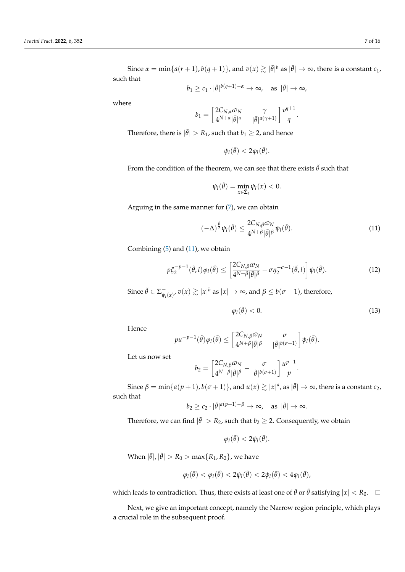Since  $\alpha = \min\{a(r+1), b(q+1)\}$ , and  $v(x) \gtrsim |\bar{\theta}|^b$  as  $|\bar{\theta}| \to \infty$ , there is a constant  $c_1$ , such that

$$
b_1 \ge c_1 \cdot |\bar{\theta}|^{b(q+1)-\alpha} \to \infty
$$
, as  $|\bar{\theta}| \to \infty$ ,

where

$$
b_1 = \left[\frac{2C_{N,\alpha}\omega_N}{4^{N+\alpha}|\bar{\theta}|^{\alpha}} - \frac{\gamma}{|\bar{\theta}|^{a(\gamma+1)}}\right] \frac{v^{q+1}}{q}.
$$

Therefore, there is  $|\bar{\theta}| > R_1$ , such that  $b_1 \geq 2$ , and hence

$$
\psi_l(\bar{\theta}) < 2\varphi_l(\bar{\theta}).
$$

From the condition of the theorem, we can see that there exists  $\tilde{\theta}$  such that

$$
\psi_l(\tilde{\theta})=\min_{x\in\bar{\Sigma}_l}\psi_l(x)<0.
$$

Arguing in the same manner for  $(7)$ , we can obtain

<span id="page-6-0"></span>
$$
(-\Delta)^{\frac{\beta}{2}}\psi_l(\tilde{\theta}) \le \frac{2C_{N,\beta}\omega_N}{4^{N+\beta}|\tilde{\theta}|^{\beta}}\psi_l(\tilde{\theta}).
$$
\n(11)

Combining  $(5)$  and  $(11)$ , we obtain

$$
p\xi_2^{-p-1}(\tilde{\theta},l)\varphi_l(\tilde{\theta}) \le \left[\frac{2C_{N,\beta}\varpi_N}{4^{N+\beta}|\tilde{\theta}|^{\beta}} - \sigma\eta_2^{-\sigma-1}(\tilde{\theta},l)\right]\psi_l(\tilde{\theta}).\tag{12}
$$

Since  $\tilde{\theta} \in \Sigma_{\psi_0}^+$  $\frac{1}{\psi_l(x)}, v(x) \gtrsim |x|^b$  as  $|x| \to \infty$ , and  $\beta \leq b(\sigma+1)$ , therefore,

$$
\varphi_l(\tilde{\theta}) < 0. \tag{13}
$$

Hence

$$
pu^{-p-1}(\tilde{\theta})\varphi_l(\tilde{\theta}) \le \left[\frac{2C_{N,\beta}\varphi_N}{4^{N+\beta}|\tilde{\theta}|^{\beta}} - \frac{\sigma}{|\tilde{\theta}|^{b(\sigma+1)}}\right]\psi_l(\tilde{\theta}).
$$

Let us now set

$$
b_2 = \left[\frac{2C_{N,\beta}\omega_N}{4^{N+\beta}|\tilde{\theta}|^{\beta}} - \frac{\sigma}{|\tilde{\theta}|^{b(\sigma+1)}}\right] \frac{u^{p+1}}{p}.
$$

Since  $\beta = \min\{a(p+1), b(c+1)\}\$ , and  $u(x) \gtrsim |x|^a$ , as  $|\tilde{\theta}| \to \infty$ , there is a constant  $c_2$ , such that

$$
b_2 \geq c_2 \cdot |\tilde{\theta}|^{a(p+1)-\beta} \to \infty, \quad \text{as } |\tilde{\theta}| \to \infty.
$$

Therefore, we can find  $|\tilde{\theta}| > R_2$ , such that  $b_2 \geq 2$ . Consequently, we obtain

$$
\varphi_l(\tilde{\theta}) < 2\psi_l(\tilde{\theta}).
$$

When  $|\bar{\theta}|$ ,  $|\tilde{\theta}| > R_0 > \max\{R_1, R_2\}$ , we have

$$
\varphi_l(\bar{\theta}) < \varphi_l(\tilde{\theta}) < 2\psi_l(\tilde{\theta}) < 2\psi_l(\bar{\theta}) < 4\varphi_l(\bar{\theta}),
$$

which leads to contradiction. Thus, there exists at least one of  $\bar{\theta}$  or  $\tilde{\theta}$  satisfying  $|x| < R_0$ .  $\Box$ 

Next, we give an important concept, namely the Narrow region principle, which plays a crucial role in the subsequent proof.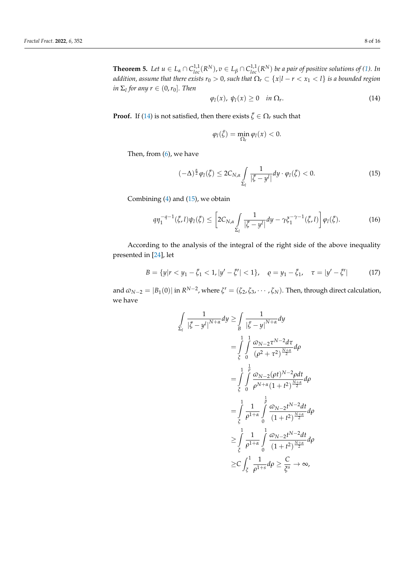<span id="page-7-2"></span>**Theorem 5.** Let  $u \in L_{\alpha} \cap C_{loc}^{1,1}(R^N)$ ,  $v \in L_{\beta} \cap C_{loc}^{1,1}(R^N)$  be a pair of positive solutions of [\(1\)](#page-1-0). In *addition, assume that there exists r*<sup>0</sup> > 0*, such that* Ω*<sup>r</sup>* ⊂ {*x*|*l* − *r* < *x*<sup>1</sup> < *l*} *is a bounded region*  $in \Sigma_l$  for any  $r \in (0, r_0]$ . Then

<span id="page-7-0"></span>
$$
\varphi_l(x), \psi_l(x) \ge 0 \quad \text{in } \Omega_r. \tag{14}
$$

**Proof.** If [\(14\)](#page-7-0) is not satisfied, then there exists  $\bar{\zeta} \in \Omega_r$  such that

$$
\varphi_l(\bar{\zeta})=\min_{\Omega_r}\varphi_l(x)<0.
$$

Then, from [\(6\)](#page-5-2), we have

<span id="page-7-1"></span>
$$
(-\Delta)^{\frac{\alpha}{2}}\varphi_l(\bar{\zeta}) \leq 2C_{N,\alpha} \int\limits_{\Sigma_l} \frac{1}{|\bar{\zeta}-y^l|} dy \cdot \varphi_l(\bar{\zeta}) < 0. \tag{15}
$$

Combining  $(4)$  and  $(15)$ , we obtain

Z

Σ*l*

$$
q\eta_1^{-q-1}(\bar{\zeta},l)\psi_l(\bar{\zeta}) \le \left[2C_{N,\alpha}\int\limits_{\Sigma_l}\frac{1}{|\bar{\zeta}-y^l|}dy - \gamma \xi_1^{-\gamma-1}(\bar{\zeta},l)\right]\varphi_l(\bar{\zeta}).\tag{16}
$$

According to the analysis of the integral of the right side of the above inequality presented in [\[24\]](#page-14-17), let

$$
B = \{y | r < y_1 - \bar{\zeta}_1 < 1, |y' - \bar{\zeta}'| < 1\}, \quad \varrho = y_1 - \bar{\zeta}_1, \quad \tau = |y' - \bar{\zeta}'| \tag{17}
$$

and  $\omega_{N-2} = |B_1(0)|$  in  $R^{N-2}$ , where  $\zeta' = (\zeta_2, \zeta_3, \cdots, \zeta_N)$ . Then, through direct calculation, we have

$$
\frac{1}{|\bar{\zeta} - y^l|^{N+\alpha}} dy \ge \int_{B} \frac{1}{|\bar{\zeta} - y|^{N+\alpha}} dy
$$
  
\n
$$
= \int_{\bar{\zeta}}^{1} \int_{0}^{2\pi} \frac{\omega_{N-2} \tau^{N-2} d\tau}{(\rho^2 + \tau^2)^{\frac{N+\alpha}{2}}} d\rho
$$
  
\n
$$
= \int_{\bar{\zeta}}^{1} \int_{0}^{\frac{\beta}{\rho}} \frac{\omega_{N-2} (\rho t)^{N-2} \rho dt}{\rho^{N+\alpha} (1+t^2)^{\frac{N+\alpha}{2}}} d\rho
$$
  
\n
$$
= \int_{\bar{\zeta}}^{1} \frac{1}{\rho^{1+\alpha}} \int_{0}^{\frac{\beta}{\rho}} \frac{\omega_{N-2} t^{N-2} dt}{(1+t^2)^{\frac{N+\alpha}{2}}} d\rho
$$
  
\n
$$
\ge \int_{\bar{\zeta}}^{1} \frac{1}{\rho^{1+\alpha}} \int_{0}^{1} \frac{\omega_{N-2} t^{N-2} dt}{(1+t^2)^{\frac{N+\alpha}{2}}} d\rho
$$
  
\n
$$
\ge C \int_{\bar{\zeta}}^{1} \frac{1}{\rho^{1+\alpha}} d\rho \ge \frac{C}{\zeta^s} \to \infty,
$$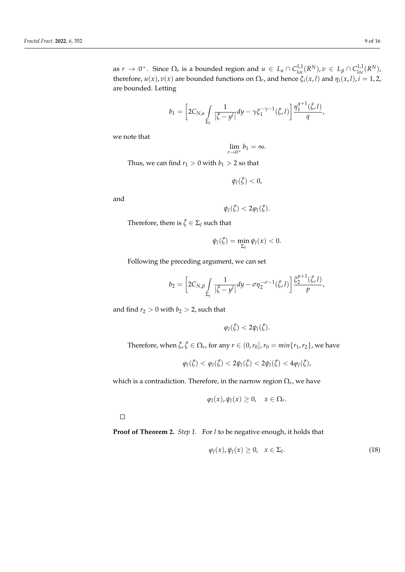as  $r \to 0^+$ . Since  $\Omega_r$  is a bounded region and  $u \in L_{\alpha} \cap C_{loc}^{1,1}(R^N)$ ,  $v \in L_{\beta} \cap C_{loc}^{1,1}(R^N)$ , therefore,  $u(x)$ ,  $v(x)$  are bounded functions on  $\Omega_r$ , and hence  $\xi_i(x, l)$  and  $\eta_i(x, l)$ ,  $i = 1, 2$ , are bounded. Letting

$$
b_1 = \left[2C_{N,\alpha}\int\limits_{\Sigma_l} \frac{1}{|\bar{\zeta}-y^l|}dy - \gamma \bar{\zeta}_1^{-\gamma-1}(\bar{\zeta},l)\right] \frac{\eta_1^{q+1}(\bar{\zeta},l)}{q},
$$

we note that

$$
\lim_{r\to 0^+}b_1=\infty.
$$

Thus, we can find  $r_1 > 0$  with  $b_1 > 2$  so that

$$
\psi_l(\bar{\zeta})<0,
$$

and

$$
\psi_l(\bar{\zeta}) < 2\varphi_l(\bar{\zeta}).
$$

Therefore, there is  $\tilde{\zeta} \in \Sigma_l$  such that

$$
\psi_l(\tilde{\zeta})=\min_{\Sigma_l}\psi_l(x)<0.
$$

Following the preceding argument, we can set

$$
b_2 = \left[2C_{N,\beta}\int\limits_{\Sigma_l} \frac{1}{|\tilde{\zeta}-y^l|}dy - \sigma\eta_2^{-\sigma-1}(\tilde{\zeta},l)\right]\frac{\xi_2^{p+1}(\tilde{\zeta},l)}{p},
$$

and find  $r_2 > 0$  with  $b_2 > 2$ , such that

$$
\varphi_l(\tilde{\zeta}) < 2\psi_l(\tilde{\zeta}).
$$

Therefore, when  $\bar{\zeta}, \tilde{\zeta} \in \Omega_r$ , for any  $r \in (0, r_0]$ ,  $r_0 = min\{r_1, r_2\}$ , we have

$$
\varphi_l(\bar{\zeta}) < \varphi_l(\tilde{\zeta}) < 2\psi_l(\tilde{\zeta}) < 2\psi_l(\bar{\zeta}) < 4\varphi_l(\bar{\zeta}),
$$

which is a contradiction. Therefore, in the narrow region  $\Omega_r$ , we have

$$
\varphi_l(x), \psi_l(x) \geq 0, \quad x \in \Omega_r.
$$

 $\Box$ 

**Proof of Theorem 2.** *Step 1.* For *l* to be negative enough, it holds that

<span id="page-8-0"></span>
$$
\varphi_l(x), \psi_l(x) \ge 0, \quad x \in \Sigma_l. \tag{18}
$$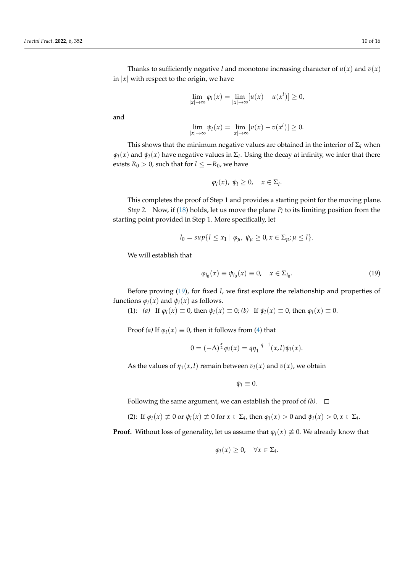Thanks to sufficiently negative *l* and monotone increasing character of  $u(x)$  and  $v(x)$ in  $|x|$  with respect to the origin, we have

$$
\lim_{|x| \to \infty} \varphi_l(x) = \lim_{|x| \to \infty} [u(x) - u(x^l)] \ge 0,
$$

and

$$
\lim_{|x|\to\infty}\psi_l(x)=\lim_{|x|\to\infty}[v(x)-v(x^l)]\geq 0.
$$

This shows that the minimum negative values are obtained in the interior of  $\Sigma_l$  when  $\varphi_l(x)$  and  $\psi_l(x)$  have negative values in  $\Sigma_l.$  Using the decay at infinity, we infer that there exists  $R_0 > 0$ , such that for  $l \leq -R_0$ , we have

$$
\varphi_l(x),\ \psi_l\geq 0,\quad x\in\Sigma_l.
$$

This completes the proof of Step 1 and provides a starting point for the moving plane. *Step 2.* Now, if [\(18\)](#page-8-0) holds, let us move the plane  $P_l$  to its limiting position from the starting point provided in Step 1. More specifically, let

$$
l_0 = \sup\{l \leq x_1 \mid \varphi_\mu, \psi_\mu \geq 0, x \in \Sigma_\mu; \mu \leq l\}.
$$

We will establish that

<span id="page-9-0"></span>
$$
\varphi_{l_0}(x) \equiv \psi_{l_0}(x) \equiv 0, \quad x \in \Sigma_{l_0}.\tag{19}
$$

Before proving [\(19\)](#page-9-0), for fixed *l*, we first explore the relationship and properties of functions  $\varphi_l(x)$  and  $\psi_l(x)$  as follows.

(1): *(a)* If  $\varphi_l(x) \equiv 0$ , then  $\psi_l(x) \equiv 0$ ; *(b)* If  $\psi_l(x) \equiv 0$ , then  $\varphi_l(x) \equiv 0$ .

Proof *(a)* If  $\varphi_l(x) \equiv 0$ , then it follows from [\(4\)](#page-4-1) that

$$
0 = (-\Delta)^{\frac{\alpha}{2}} \varphi_l(x) = q \eta_1^{-q-1}(x, l) \psi_l(x).
$$

As the values of  $\eta_1(x, l)$  remain between  $v_l(x)$  and  $v(x)$ , we obtain

$$
\psi_l\equiv 0.
$$

Following the same argument, we can establish the proof of  $(b)$ .  $\Box$ 

(2): If  $\varphi_l(x) \neq 0$  or  $\psi_l(x) \neq 0$  for  $x \in \Sigma_l$ , then  $\varphi_l(x) > 0$  and  $\psi_l(x) > 0$ ,  $x \in \Sigma_l$ .

**Proof.** Without loss of generality, let us assume that  $\varphi_l(x) \not\equiv 0$ . We already know that

$$
\varphi_l(x) \geq 0, \quad \forall x \in \Sigma_l.
$$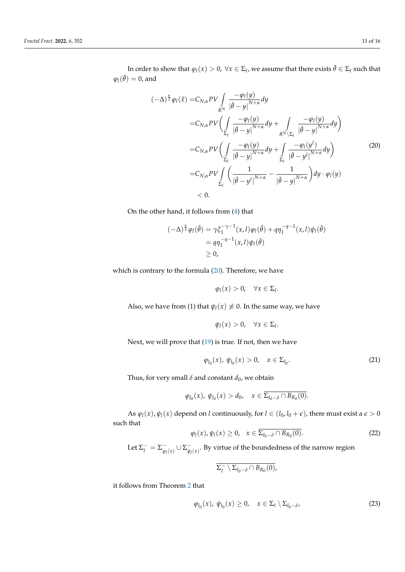In order to show that  $\varphi_l(x)>0$ ,  $\forall x\in \Sigma_l$ , we assume that there exists  $\breve{\theta}\in \Sigma_l$  such that  $\varphi_l(\check{\theta}) = 0$ , and

<span id="page-10-0"></span>
$$
(-\Delta)^{\frac{\alpha}{2}} \varphi_{l}(\check{x}) = C_{N,\alpha} PV \int_{R^{N}} \frac{-\varphi_{l}(y)}{|\check{\theta} - y|^{N+\alpha}} dy
$$
  
\n
$$
= C_{N,\alpha} PV \Biggl( \int_{\Sigma_{l}} \frac{-\varphi_{l}(y)}{|\check{\theta} - y|^{N+\alpha}} dy + \int_{R^{N} \setminus \Sigma_{l}} \frac{-\varphi_{l}(y)}{|\check{\theta} - y|^{N+\alpha}} dy \Biggr)
$$
  
\n
$$
= C_{N,\alpha} PV \Biggl( \int_{\Sigma_{l}} \frac{-\varphi_{l}(y)}{|\check{\theta} - y|^{N+\alpha}} dy + \int_{\Sigma_{l}} \frac{-\varphi_{l}(y)}{|\check{\theta} - y^{l}|^{N+\alpha}} dy \Biggr)
$$
  
\n
$$
= C_{N,\alpha} PV \int_{\Sigma_{l}} \Biggl( \frac{1}{|\check{\theta} - y^{l}|^{N+\alpha}} - \frac{1}{|\check{\theta} - y|^{N+\alpha}} \Biggr) dy \cdot \varphi_{l}(y)
$$
  
\n
$$
< 0.
$$
\n(20)

On the other hand, it follows from [\(4\)](#page-4-1) that

$$
(-\Delta)^{\frac{\alpha}{2}} \varphi_l(\check{\theta}) = \gamma \xi_1^{-\gamma - 1}(x, l) \varphi_l(\check{\theta}) + q \eta_1^{-q-1}(x, l) \psi_l(\check{\theta})
$$
  
=  $q \eta_1^{-q-1}(x, l) \psi_l(\check{\theta})$   
\ge 0,

which is contrary to the formula [\(20\)](#page-10-0). Therefore, we have

$$
\varphi_l(x) > 0, \quad \forall x \in \Sigma_l.
$$

Also, we have from (1) that  $\psi_l(x) \neq 0$ . In the same way, we have

$$
\psi_l(x) > 0, \quad \forall x \in \Sigma_l.
$$

Next, we will prove that [\(19\)](#page-9-0) is true. If not, then we have

<span id="page-10-1"></span>
$$
\varphi_{l_0}(x), \ \psi_{l_0}(x) > 0, \quad x \in \Sigma_{l_0}.\tag{21}
$$

Thus, for very small  $\delta$  and constant  $d_0$ , we obtain

$$
\varphi_{l_0}(x), \psi_{l_0}(x) > d_0, \quad x \in \overline{\Sigma_{l_0-\delta} \cap B_{R_0}(0)}.
$$

As  $\varphi_l(x)$ ,  $\psi_l(x)$  depend on *l* continuously, for  $l \in (l_0, l_0 + \epsilon)$ , there must exist a  $\epsilon > 0$ such that

<span id="page-10-2"></span>
$$
\varphi_l(x), \psi_l(x) \ge 0, \quad x \in \Sigma_{l_0 - \delta} \cap B_{R_0}(0). \tag{22}
$$

Let  $\Sigma_l^- = \Sigma_{\varphi_l}^ \overline{\varphi}_l(x) \cup \Sigma_{\psi_l}^ \bar{\psi}_{l}(x)$ . By virtue of the boundedness of the narrow region

$$
\overline{\Sigma_l^- \setminus \Sigma_{l_0-\delta} \cap B_{R_0}(0)},
$$

it follows from Theorem [2](#page-2-0) that

$$
\varphi_{l_0}(x), \ \psi_{l_0}(x) \ge 0, \quad x \in \Sigma_l \setminus \Sigma_{l_0 - \delta}, \tag{23}
$$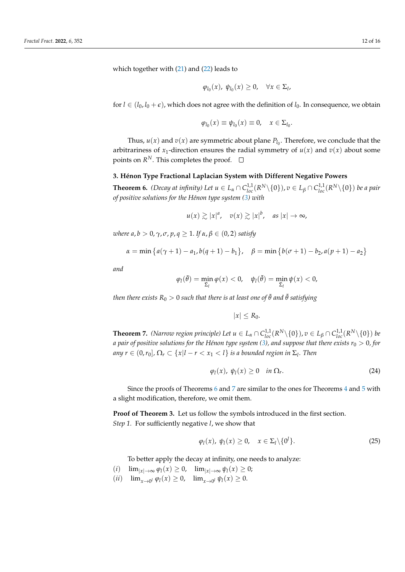which together with [\(21\)](#page-10-1) and [\(22\)](#page-10-2) leads to

$$
\varphi_{l_0}(x), \ \psi_{l_0}(x) \geq 0, \quad \forall x \in \Sigma_l,
$$

for  $l \in (l_0, l_0 + \epsilon)$ , which does not agree with the definition of  $l_0$ . In consequence, we obtain

$$
\varphi_{l_0}(x) \equiv \psi_{l_0}(x) \equiv 0, \quad x \in \Sigma_{l_0}.
$$

Thus,  $u(x)$  and  $v(x)$  are symmetric about plane  $P_{l_0}$ . Therefore, we conclude that the arbitrariness of  $x_1$ -direction ensures the radial symmetry of  $u(x)$  and  $v(x)$  about some points on  $R^N$ . This completes the proof.

## <span id="page-11-0"></span>**3. Hénon Type Fractional Laplacian System with Different Negative Powers**

<span id="page-11-1"></span>**Theorem 6.** *(Decay at infinity) Let*  $u \in L_\alpha \cap C_{loc}^{1,1}(R^N \setminus \{0\})$ ,  $v \in L_\beta \cap C_{loc}^{1,1}(R^N \setminus \{0\})$  *be a pair of positive solutions for the Hénon type system [\(3\)](#page-3-0) with*

$$
u(x) \gtrsim |x|^a, \quad v(x) \gtrsim |x|^b, \quad \text{as } |x| \to \infty,
$$

*where a, b* > 0,  $\gamma$ ,  $\sigma$ ,  $p$ ,  $q \ge 1$ . If  $\alpha$ ,  $\beta \in (0, 2)$  satisfy

$$
\alpha = \min \left\{ a(\gamma + 1) - a_1, b(q + 1) - b_1 \right\}, \quad \beta = \min \left\{ b(\sigma + 1) - b_2, a(p + 1) - a_2 \right\}
$$

*and*

$$
\varphi_l(\bar{\theta}) = \min_{\Sigma_l} \varphi(x) < 0, \quad \psi_l(\tilde{\theta}) = \min_{\Sigma_l} \psi(x) < 0,
$$

*then there exists*  $R_0 > 0$  *such that there is at least one of*  $\bar{\theta}$  *and*  $\tilde{\theta}$  *satisfying* 

$$
|x|\leq R_0.
$$

<span id="page-11-2"></span>**Theorem 7.** *(Narrow region principle) Let*  $u \in L_\alpha \cap C_{loc}^{1,1}(R^N \setminus \{0\})$ ,  $v \in L_\beta \cap C_{loc}^{1,1}(R^N \setminus \{0\})$  be *a pair of positive solutions for the Hénon type system [\(3\)](#page-3-0), and suppose that there exists r*<sup>0</sup> > 0*, for*  $\mathcal{L}(n,r) = \{ (0,r_0], \Omega_r \subset \{ x | l - r < x_1 < l \}$  is a bounded region in  $\Sigma_l$ . Then

$$
\varphi_l(x), \psi_l(x) \ge 0 \quad \text{in } \Omega_r. \tag{24}
$$

Since the proofs of Theorems [6](#page-11-1) and [7](#page-11-2) are similar to the ones for Theorems [4](#page-4-3) and [5](#page-7-2) with a slight modification, therefore, we omit them.

**Proof of Theorem 3.** Let us follow the symbols introduced in the first section. *Step 1.* For sufficiently negative *l*, we show that

<span id="page-11-3"></span>
$$
\varphi_l(x), \ \psi_l(x) \ge 0, \quad x \in \Sigma_l \setminus \{0^l\}. \tag{25}
$$

To better apply the decay at infinity, one needs to analyze:

- $(i)$   $\lim_{|x| \to \infty} \varphi_l(x) \geq 0$ ,  $\lim_{|x| \to \infty} \psi_l(x) \geq 0$ ;
- $(iii)$   $\lim_{x\to 0^l} \varphi_l(x) \ge 0$ ,  $\lim_{x\to 0^l} \psi_l(x) \ge 0$ .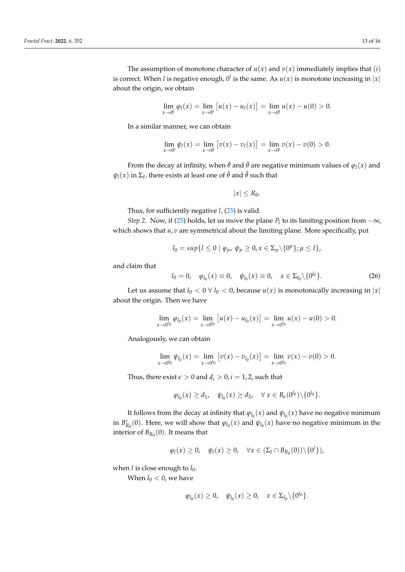The assumption of monotone character of  $u(x)$  and  $v(x)$  immediately implies that (*i*) is correct. When  $l$  is negative enough,  $0^l$  is the same. As  $u(x)$  is monotone increasing in  $|x|$ about the origin, we obtain

$$
\lim_{x \to 0^l} \varphi_l(x) = \lim_{x \to 0^l} [u(x) - u_l(x)] = \lim_{x \to 0^l} u(x) - u(0) > 0.
$$

In a similar manner, we can obtain

$$
\lim_{x \to 0^l} \psi_l(x) = \lim_{x \to 0^l} \left[ v(x) - v_l(x) \right] = \lim_{x \to 0^l} v(x) - v(0) > 0.
$$

From the decay at infinity, when  $\bar{\theta}$  and  $\tilde{\theta}$  are negative minimum values of  $\varphi_l(x)$  and  $ψ$ *l*(*x*) in  $\Sigma$ *l*, there exists at least one of  $\bar{\theta}$  and  $\tilde{\theta}$  such that

 $|x| \le R_0$ .

Thus, for sufficiently negative 
$$
l
$$
, (25) is valid.

*Step 2.* Now, if [\(25\)](#page-11-3) holds, let us move the plane  $P_l$  to its limiting position from  $-\infty$ , which shows that *u*, *v* are symmetrical about the limiting plane. More specifically, put

$$
l_0 = \sup\{l \leq 0 \mid \varphi_{\mu}, \psi_{\mu} \geq 0, x \in \Sigma_{\mu} \setminus \{0^{\mu}\}; \mu \leq l\},\
$$

and claim that

<span id="page-12-0"></span>
$$
l_0 = 0
$$
,  $\varphi_{l_0}(x) \equiv 0$ ,  $\psi_{l_0}(x) \equiv 0$ ,  $x \in \Sigma_{l_0} \setminus \{0^{l_0}\}$ . (26)

Let us assume that  $l_0 < 0 \ \forall l_0 < 0$ , because  $u(x)$  is monotonically increasing in  $|x|$ about the origin. Then we have

$$
\lim_{x \to 0^{l_0}} \varphi_{l_0}(x) = \lim_{x \to 0^{l_0}} [u(x) - u_{l_0}(x)] = \lim_{x \to 0^{l_0}} u(x) - u(0) > 0.
$$

Analogously, we can obtain

$$
\lim_{x\to 0^{l_0}} \psi_{l_0}(x) = \lim_{x\to 0^{l_0}} \big[ v(x) - v_{l_0}(x) \big] = \lim_{x\to 0^{l_0}} v(x) - v(0) > 0.
$$

Thus, there exist  $\epsilon > 0$  and  $d_i > 0$ ,  $i = 1, 2$ , such that

$$
\varphi_{l_0}(x) \geq d_1, \quad \psi_{l_0}(x) \geq d_2, \quad \forall \ x \in B_{\epsilon}(0^{l_0}) \setminus \{0^{l_0}\}.
$$

It follows from the decay at infinity that  $\varphi_{l_0}(x)$  and  $\psi_{l_0}(x)$  have no negative minimum in  $B_{R_0}^c(0)$ . Here, we will show that  $\varphi_{l_0}(x)$  and  $\psi_{l_0}(x)$  have no negative minimum in the interior of  $B_{R_0}(0)$ . It means that

$$
\varphi_l(x) \geq 0, \quad \psi_l(x) \geq 0, \quad \forall x \in (\Sigma_l \cap B_{R_0}(0)) \setminus \{0^l\}),
$$

when  $l$  is close enough to  $l_0$ .

When  $l_0 < 0$ , we have

$$
\varphi_{l_0}(x) \ge 0, \quad \psi_{l_0}(x) \ge 0, \quad x \in \Sigma_{l_0} \setminus \{0^{l_0}\}.
$$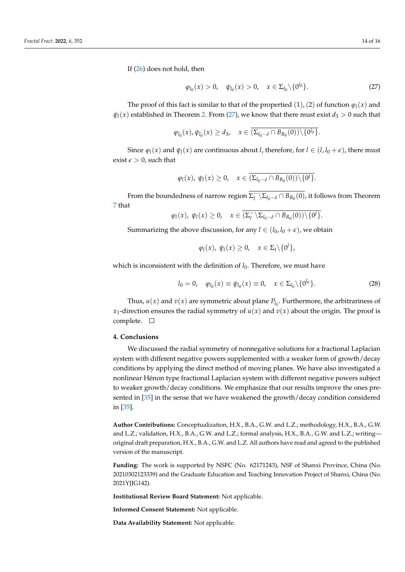If [\(26\)](#page-12-0) does not hold, then

<span id="page-13-0"></span>
$$
\varphi_{l_0}(x) > 0, \quad \psi_{l_0}(x) > 0, \quad x \in \Sigma_{l_0} \setminus \{0^{l_0}\}.
$$
\n(27)

The proof of this fact is similar to that of the propertied  $(1)$ ,  $(2)$  of function  $\varphi_l(x)$  and  $\psi_l(x)$  established in Theorem [2.](#page-2-0) From [\(27\)](#page-13-0), we know that there must exist  $d_3 > 0$  such that

$$
\varphi_{l_0}(x), \psi_{l_0}(x) \ge d_3, \quad x \in (\Sigma_{l_0-\delta} \cap B_{R_0}(0)) \setminus \{0^{l_0}\}.
$$

Since  $\varphi_l(x)$  and  $\psi_l(x)$  are continuous about *l*, therefore, for  $l \in (l, l_0 + \epsilon)$ , there must exist  $\epsilon > 0$ , such that

$$
\varphi_l(x), \psi_l(x) \geq 0, \quad x \in (\Sigma_{l_0-\delta} \cap B_{R_0}(0)) \setminus \{0^l\}.
$$

From the boundedness of narrow region  $\overline{\Sigma_I^-}$  $\binom{1}{l}$   $\sum_{l_0-δ} ∩ B_{R_0}(0)$ , it follows from Theorem [7](#page-11-2) that

$$
\varphi_l(x), \psi_l(x) \ge 0, \quad x \in \overline{(\Sigma_l^-\backslash \Sigma_{l_0-\delta}\cap B_{R_0}(0))\backslash \{0^l\}}.
$$

Summarizing the above discussion, for any  $l \in (l_0, l_0 + \epsilon)$ , we obtain

$$
\varphi_l(x), \psi_l(x) \geq 0, \quad x \in \Sigma_l \backslash \{0^l\},
$$

which is inconsistent with the definition of  $l_0$ . Therefore, we must have

$$
l_0 = 0, \quad \varphi_{l_0}(x) \equiv \psi_{l_0}(x) \equiv 0, \quad x \in \Sigma_{l_0} \backslash \{0^{l_0}\}. \tag{28}
$$

Thus,  $u(x)$  and  $v(x)$  are symmetric about plane  $P_{l_0}$ . Furthermore, the arbitrariness of *x*<sub>1</sub>-direction ensures the radial symmetry of  $u(x)$  and  $v(x)$  about the origin. The proof is complete.

#### **4. Conclusions**

We discussed the radial symmetry of nonnegative solutions for a fractional Laplacian system with different negative powers supplemented with a weaker form of growth/decay conditions by applying the direct method of moving planes. We have also investigated a nonlinear Hénon type fractional Laplacian system with different negative powers subject to weaker growth/decay conditions. We emphasize that our results improve the ones presented in [\[35\]](#page-15-1) in the sense that we have weakened the growth/decay condition considered in [\[35\]](#page-15-1).

**Author Contributions:** Conceptualization, H.X., B.A., G.W. and L.Z.; methodology, H.X., B.A., G.W. and L.Z.; validation, H.X., B.A., G.W. and L.Z.; formal analysis, H.X., B.A., G.W. and L.Z.; writing original draft preparation, H.X., B.A., G.W. and L.Z. All authors have read and agreed to the published version of the manuscript.

**Funding:** The work is supported by NSFC (No. 62171243), NSF of Shanxi Province, China (No. 20210302123339) and the Graduate Education and Teaching Innovation Project of Shanxi, China (No. 2021YJJG142).

**Institutional Review Board Statement:** Not applicable.

**Informed Consent Statement:** Not applicable.

**Data Availability Statement:** Not applicable.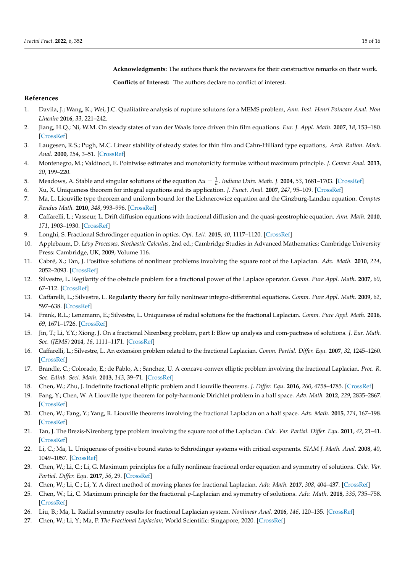**Acknowledgments:** The authors thank the reviewers for their constructive remarks on their work.

**Conflicts of Interest:** The authors declare no conflict of interest.

#### **References**

- <span id="page-14-0"></span>1. Davila, J.; Wang, K.; Wei, J.C. Qualitative analysis of rupture solutons for a MEMS problem, *Ann. Inst. Henri Poincare Anal. Non Lineaire* **2016**, *33*, 221–242.
- <span id="page-14-1"></span>2. Jiang, H.Q.; Ni, W.M. On steady states of van der Waals force driven thin film equations. *Eur. J. Appl. Math.* **2007**, *18*, 153–180. [\[CrossRef\]](http://doi.org/10.1017/S0956792507006936)
- <span id="page-14-2"></span>3. Laugesen, R.S.; Pugh, M.C. Linear stability of steady states for thin film and Cahn-Hilliard type equations, *Arch. Ration. Mech. Anal.* **2000**, *154*, 3–51. [\[CrossRef\]](http://dx.doi.org/10.1007/PL00004234)
- <span id="page-14-3"></span>4. Montenegro, M.; Valdinoci, E. Pointwise estimates and monotonicity formulas without maximum principle. *J. Convex Anal.* **2013**, *20*, 199–220.
- <span id="page-14-4"></span>5. Meadows, A. Stable and singular solutions of the equation ∆*u* = <sup>1</sup> *u* . *Indiana Univ. Math. J.* **2004**, *53*, 1681–1703. [\[CrossRef\]](http://dx.doi.org/10.1512/iumj.2004.53.2560)
- <span id="page-14-5"></span>6. Xu, X. Uniqueness theorem for integral equations and its application. *J. Funct. Anal.* **2007**, *247*, 95–109. [\[CrossRef\]](http://dx.doi.org/10.1016/j.jfa.2007.03.005)
- <span id="page-14-6"></span>7. Ma, L. Liouville type theorem and uniform bound for the Lichnerowicz equation and the Ginzburg-Landau equation. *Comptes Rendus Math.* **2010**, *348*, 993–996. [\[CrossRef\]](http://dx.doi.org/10.1016/j.crma.2010.07.031)
- <span id="page-14-7"></span>8. Caffarelli, L.; Vasseur, L. Drift diffusion equations with fractional diffusion and the quasi-geostrophic equation. *Ann. Math.* **2010**, *171*, 1903–1930. [\[CrossRef\]](http://dx.doi.org/10.4007/annals.2010.171.1903)
- 9. Longhi, S. Fractional Schrödinger equation in optics. *Opt. Lett.* **2015**, *40*, 1117–1120. [\[CrossRef\]](http://dx.doi.org/10.1364/OL.40.001117)
- 10. Applebaum, D. *Lévy Processes, Stochastic Calculus*, 2nd ed.; Cambridge Studies in Advanced Mathematics; Cambridge University Press: Cambridge, UK, 2009; Volume 116.
- <span id="page-14-8"></span>11. Cabré, X.; Tan, J. Positive solutions of nonlinear problems involving the square root of the Laplacian. *Adv. Math.* **2010**, *224*, 2052–2093. [\[CrossRef\]](http://dx.doi.org/10.1016/j.aim.2010.01.025)
- <span id="page-14-9"></span>12. Silvestre, L. Regilarity of the obstacle problem for a fractional power of the Laplace operator. *Comm. Pure Appl. Math.* **2007**, *60*, 67–112. [\[CrossRef\]](http://dx.doi.org/10.1002/cpa.20153)
- 13. Caffarelli, L.; Silvestre, L. Regularity theory for fully nonlinear integro-differential equations. *Comm. Pure Appl. Math.* **2009**, *62*, 597–638. [\[CrossRef\]](http://dx.doi.org/10.1002/cpa.20274)
- 14. Frank, R.L.; Lenzmann, E.; Silvestre, L. Uniqueness of radial solutions for the fractional Laplacian. *Comm. Pure Appl. Math.* **2016**, *69*, 1671–1726. [\[CrossRef\]](http://dx.doi.org/10.1002/cpa.21591)
- <span id="page-14-10"></span>15. Jin, T.; Li, Y.Y.; Xiong, J. On a fractional Nirenberg problem, part I: Blow up analysis and com-pactness of solutions. *J. Eur. Math. Soc. (JEMS)* **2014**, *16*, 1111–1171. [\[CrossRef\]](http://dx.doi.org/10.4171/JEMS/456)
- <span id="page-14-11"></span>16. Caffarelli, L.; Silvestre, L. An extension problem related to the fractional Laplacian. *Comm. Partial. Differ. Equ.* **2007**, *32*, 1245–1260. [\[CrossRef\]](http://dx.doi.org/10.1080/03605300600987306)
- <span id="page-14-12"></span>17. Brandle, C.; Colorado, E.; de Pablo, A.; Sanchez, U. A concave-convex elliptic problem involving the fractional Laplacian. *Proc. R. Soc. Edinb. Sect. Math.* **2013**, *143*, 39–71. [\[CrossRef\]](http://dx.doi.org/10.1017/S0308210511000175)
- 18. Chen, W.; Zhu, J. Indefinite fractional elliptic problem and Liouville theorems. *J. Differ. Equ*. **2016**, *260*, 4758–4785. [\[CrossRef\]](http://dx.doi.org/10.1016/j.jde.2015.11.029)
- <span id="page-14-13"></span>19. Fang, Y.; Chen, W. A Liouville type theorem for poly-harmonic Dirichlet problem in a half space. *Adv. Math.* **2012**, *229*, 2835–2867. [\[CrossRef\]](http://dx.doi.org/10.1016/j.aim.2012.01.018)
- <span id="page-14-14"></span>20. Chen, W.; Fang, Y.; Yang, R. Liouville theorems involving the fractional Laplacian on a half space. *Adv. Math.* **2015**, *274*, 167–198. [\[CrossRef\]](http://dx.doi.org/10.1016/j.aim.2014.12.013)
- 21. Tan, J. The Brezis-Nirenberg type problem involving the square root of the Laplacian. *Calc. Var. Partial. Differ. Equ.* **2011**, *42*, 21–41. [\[CrossRef\]](http://dx.doi.org/10.1007/s00526-010-0378-3)
- <span id="page-14-15"></span>22. Li, C.; Ma, L. Uniqueness of positive bound states to Schrödinger systems with critical exponents. *SIAM J. Math. Anal.* **2008**, *40*, 1049–1057. [\[CrossRef\]](http://dx.doi.org/10.1137/080712301)
- <span id="page-14-16"></span>23. Chen, W.; Li, C.; Li, G. Maximum principles for a fully nonlinear fractional order equation and symmetry of solutions. *Calc. Var. Partial. Differ. Equ.* **2017**, *56*, 29. [\[CrossRef\]](http://dx.doi.org/10.1007/s00526-017-1110-3)
- <span id="page-14-17"></span>24. Chen, W.; Li, C.; Li, Y. A direct method of moving planes for fractional Laplacian. *Adv. Math.* **2017**, *308*, 404–437. [\[CrossRef\]](http://dx.doi.org/10.1016/j.aim.2016.11.038)
- <span id="page-14-18"></span>25. Chen, W.; Li, C. Maximum principle for the fractional *p*-Laplacian and symmetry of solutions. *Adv. Math.* **2018**, *335*, 735–758. [\[CrossRef\]](http://dx.doi.org/10.1016/j.aim.2018.07.016)
- <span id="page-14-19"></span>26. Liu, B.; Ma, L. Radial symmetry results for fractional Laplacian system. *Nonlinear Anal.* **2016**, *146*, 120–135. [\[CrossRef\]](http://dx.doi.org/10.1016/j.na.2016.08.022)
- <span id="page-14-20"></span>27. Chen, W.; Li, Y.; Ma, P. *The Fractional Laplacian*; World Scientific: Singapore, 2020. [\[CrossRef\]](http://dx.doi.org/10.1142/10550)